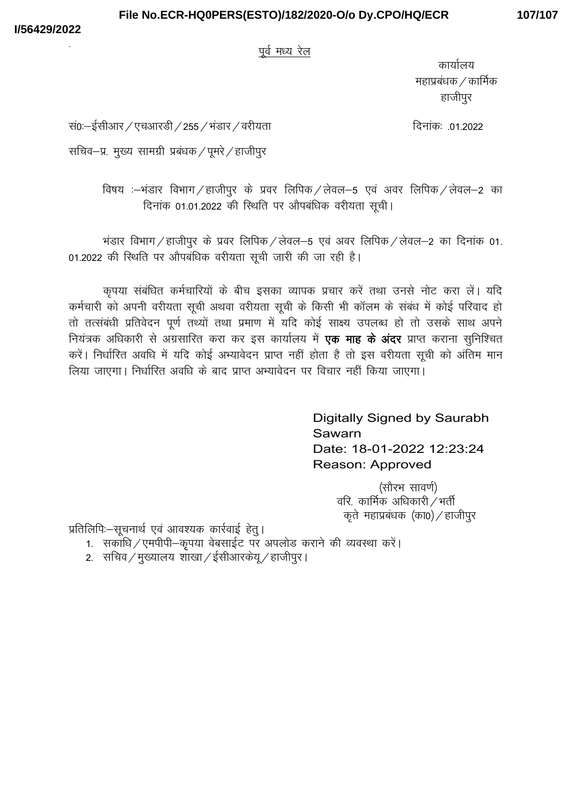# File No.ECR-HQ0PERS(ESTO)/182/2020-O/o Dy.CPO/HQ/ECR

## 107/107

पूर्व मध्य रेल

कार्यालय महाप्रबंधक / कार्मिक हाजीपुर

दिनांकः .01.2022

सं0ः-ईसीआर / एचआरडी / 255 / भंडार / वरीयता

सचिव-प्र. मुख्य सामग्री प्रबंधक / पूमरे / हाजीपुर

विषय :-भंडार विभाग / हाजीपुर के प्रवर लिपिक / लेवल-5 एवं अवर लिपिक / लेवल-2 का दिनांक 01.01.2022 की स्थिति पर औपबंधिक वरीयता सूची।

भंडार विभाग / हाजीपुर के प्रवर लिपिक / लेवल-5 एवं अवर लिपिक / लेवल-2 का दिनांक 01. 01.2022 की स्थिति पर औपबंधिक वरीयता सूची जारी की जा रही है।

कृपया संबंधित कर्मचारियों के बीच इसका व्यापक प्रचार करें तथा उनसे नोट करा लें। यदि कर्मचारी को अपनी वरीयता सूची अथवा वरीयता सूची के किसी भी कॉलम के संबंध में कोई परिवाद हो तो तत्संबंधी प्रतिवेदन पूर्ण तथ्यों तथा प्रमाण में यदि कोई साक्ष्य उपलब्ध हो तो उसके साथ अपने नियंत्रक अधिकारी से अग्रसारित करा कर इस कार्यालय में **एक माह के अंदर** प्राप्त कराना सुनिश्चित करें। निर्धारित अवधि में यदि कोई अभ्यावेदन प्राप्त नहीं होता है तो इस वरीयता सूची को अंतिम मान ...<br>|लिया जाएगा। निर्धारित अवधि के बाद प्राप्त अभ्यावेदन पर विचार नहीं किया जाएगा।

> Digitally Signed by Saurabh Sawarn Date: 18-01-2022 12:23:24 Reason: Approved

> > (सौरभ सावर्ण) वरि. कार्मिक अधिकारी $/$ भर्ती कृते महाप्रबंधक (का0) / हाजीपुर

प्रतिलिपिः--सूचनार्थ एवं आवश्यक कार्रवाई हेत्।

- 1. सकाधि / एमपीपी—कृपया वेबसाईट पर अपलोड कराने की व्यवस्था करें।
- 2. सचिव / मुख्यालय शाखा / ईसीआरकेय / हाजीपुर ।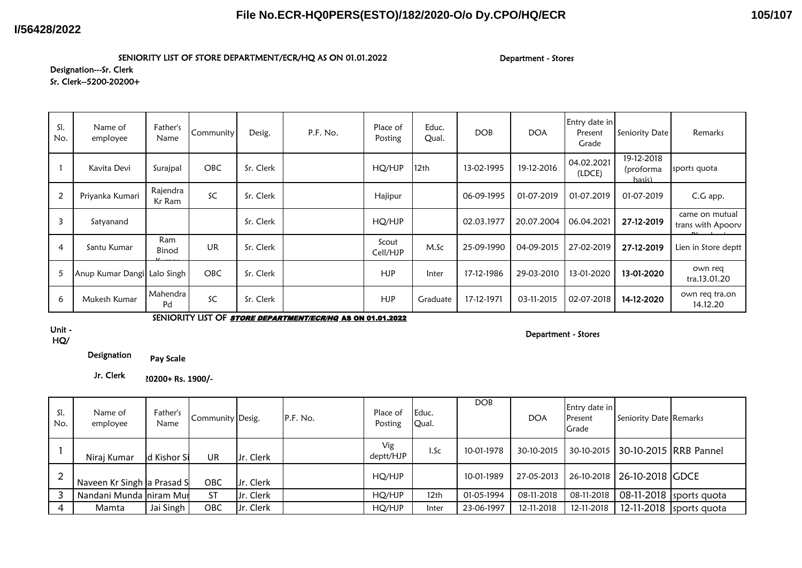### **I/56428/2022**

## **File No.ECR-HQ0PERS(ESTO)/182/2020-O/o Dy.CPO/HQ/ECR**

**105/107**

#### SENIORITY LIST OF STORE DEPARTMENT/ECR/HQ AS ON 01.01.2022

Department - Stores

#### Designation---Sr. Clerk Sr. Clerk--5200-20200+

| SI.<br>No.     | Name of<br>employee         | Father's<br>Name   | Communitv  | Desig.    | P.F. No. | Place of<br>Posting | Educ.<br>Qual.   | <b>DOB</b> | <b>DOA</b> | Entry date in<br>Present<br>Grade | Seniority Date                    | Remarks                             |
|----------------|-----------------------------|--------------------|------------|-----------|----------|---------------------|------------------|------------|------------|-----------------------------------|-----------------------------------|-------------------------------------|
|                | Kavita Devi                 | Surajpal           | <b>OBC</b> | Sr. Clerk |          | HQ/HJP              | 12 <sub>th</sub> | 13-02-1995 | 19-12-2016 | 04.02.2021<br>(LDCE)              | 19-12-2018<br>(proforma<br>hasis) | sports quota                        |
| 2              | Priyanka Kumari             | Rajendra<br>Kr Ram | SC         | Sr. Clerk |          | Hajipur             |                  | 06-09-1995 | 01-07-2019 | 01-07.2019                        | 01-07-2019                        | C.G app.                            |
| $\overline{3}$ | Satyanand                   |                    |            | Sr. Clerk |          | HQ/HJP              |                  | 02.03.1977 | 20.07.2004 | 06.04.2021                        | 27-12-2019                        | came on mutual<br>trans with Apoorv |
| 4              | Santu Kumar                 | Ram<br>Binod       | <b>UR</b>  | Sr. Clerk |          | Scout<br>Cell/HJP   | M.Sc             | 25-09-1990 | 04-09-2015 | 27-02-2019                        | 27-12-2019                        | Lien in Store deptt                 |
| 5              | Anup Kumar Dangi Lalo Singh |                    | <b>OBC</b> | Sr. Clerk |          | <b>HJP</b>          | Inter            | 17-12-1986 | 29-03-2010 | 13-01-2020                        | 13-01-2020                        | own req<br>tra.13.01.20             |
| 6              | Mukesh Kumar                | Mahendra<br>Pd     | SC         | Sr. Clerk |          | <b>HJP</b>          | Graduate         | 17-12-1971 | 03-11-2015 | 02-07-2018                        | 14-12-2020                        | own reg tra.on<br>14.12.20          |

SENIORITY LIST OF **STORE DEPARTMENT/ECR/HQ AS ON 01.01.2022** 

#### Unit - HQ/

#### Department - Stores

Designation **Pay Scale**

Jr. Clerk**5200-20200+ Rs. 1900/-**

| SI.<br>No. | Name of<br>employee         | Father's<br>Name | Community Desig. |           | P.F. No. | Place of<br>Posting | Educ.<br>Qual. | <b>DOB</b> | <b>DOA</b> | Entry date in<br>Present<br>Grade | Seniority Date Remarks     |                           |
|------------|-----------------------------|------------------|------------------|-----------|----------|---------------------|----------------|------------|------------|-----------------------------------|----------------------------|---------------------------|
|            | Niraj Kumar                 | ld Kishor Si     | <b>UR</b>        | Jr. Clerk |          | Vig<br>deptt/HJP    | 1.Sc           | 10-01-1978 | 30-10-2015 | 30-10-2015                        | 30-10-2015 RRB Pannel      |                           |
|            | Naveen Kr Singh la Prasad S |                  | OBC              | Jr. Clerk |          | HQ/HJP              |                | 10-01-1989 | 27-05-2013 |                                   | 26-10-2018 26-10-2018 GDCE |                           |
|            | Nandani Munda niram Mur     |                  | <b>ST</b>        | Jr. Clerk |          | HO/HJP              | 12th           | 01-05-1994 | 08-11-2018 | 08-11-2018                        |                            | 08-11-2018 sports quota   |
| 4          | Mamta                       | Jai Singh        | OBC              | Jr. Clerk |          | HQ/HJP              | Inter          | 23-06-1997 | 12-11-2018 | 12-11-2018                        |                            | $12-11-2018$ sports quota |